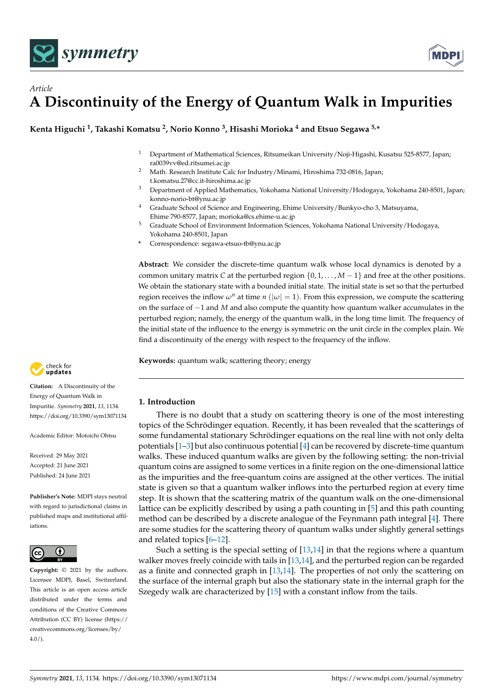



**Kenta Higuchi <sup>1</sup> , Takashi Komatsu <sup>2</sup> , Norio Konno <sup>3</sup> , Hisashi Morioka <sup>4</sup> and Etsuo Segawa 5,\***

- <sup>1</sup> Department of Mathematical Sciences, Ritsumeikan University/Noji-Higashi, Kusatsu 525-8577, Japan; ra0039vv@ed.ritsumei.ac.jp
- <sup>2</sup> Math. Research Institute Calc for Industry/Minami, Hiroshima 732-0816, Japan; t.komatsu.27@cc.it-hiroshima.ac.jp
- <sup>3</sup> Department of Applied Mathematics, Yokohama National University/Hodogaya, Yokohama 240-8501, Japan; konno-norio-bt@ynu.ac.jp
- <sup>4</sup> Graduate School of Science and Engineering, Ehime University/Bunkyo-cho 3, Matsuyama, Ehime 790-8577, Japan; morioka@cs.ehime-u.ac.jp
- <sup>5</sup> Graduate School of Environment Information Sciences, Yokohama National University/Hodogaya, Yokohama 240-8501, Japan
- **\*** Correspondence: segawa-etsuo-tb@ynu.ac.jp

**Abstract:** We consider the discrete-time quantum walk whose local dynamics is denoted by a common unitary matrix *C* at the perturbed region  $\{0, 1, \ldots, M-1\}$  and free at the other positions. We obtain the stationary state with a bounded initial state. The initial state is set so that the perturbed region receives the inflow  $\omega^n$  at time *n* ( $|\omega| = 1$ ). From this expression, we compute the scattering on the surface of −1 and *M* and also compute the quantity how quantum walker accumulates in the perturbed region; namely, the energy of the quantum walk, in the long time limit. The frequency of the initial state of the influence to the energy is symmetric on the unit circle in the complex plain. We find a discontinuity of the energy with respect to the frequency of the inflow.

**Keywords:** quantum walk; scattering theory; energy



There is no doubt that a study on scattering theory is one of the most interesting topics of the Schrödinger equation. Recently, it has been revealed that the scatterings of some fundamental stationary Schrödinger equations on the real line with not only delta potentials [\[1–](#page-13-0)[3\]](#page-13-1) but also continuous potential [\[4\]](#page-13-2) can be recovered by discrete-time quantum walks. These induced quantum walks are given by the following setting: the non-trivial quantum coins are assigned to some vertices in a finite region on the one-dimensional lattice as the impurities and the free-quantum coins are assigned at the other vertices. The initial state is given so that a quantum walker inflows into the perturbed region at every time step. It is shown that the scattering matrix of the quantum walk on the one-dimensional lattice can be explicitly described by using a path counting in [\[5\]](#page-13-3) and this path counting method can be described by a discrete analogue of the Feynmann path integral [\[4\]](#page-13-2). There are some studies for the scattering theory of quantum walks under slightly general settings and related topics [\[6–](#page-13-4)[12\]](#page-13-5).

Such a setting is the special setting of [\[13,](#page-14-0)[14\]](#page-14-1) in that the regions where a quantum walker moves freely coincide with tails in [\[13,](#page-14-0)[14\]](#page-14-1), and the perturbed region can be regarded as a finite and connected graph in [\[13](#page-14-0)[,14\]](#page-14-1). The properties of not only the scattering on the surface of the internal graph but also the stationary state in the internal graph for the Szegedy walk are characterized by [\[15\]](#page-14-2) with a constant inflow from the tails.



**Citation:** A Discontinuity of the Energy of Quantum Walk in Impuritie. *Symmetry* **2021**, *13*, 1134. <https://doi.org/10.3390/sym13071134>

Academic Editor: Motoichi Ohtsu

Received: 29 May 2021 Accepted: 21 June 2021 Published: 24 June 2021

**Publisher's Note:** MDPI stays neutral with regard to jurisdictional claims in published maps and institutional affiliations.



**Copyright:** © 2021 by the authors. Licensee MDPI, Basel, Switzerland. This article is an open access article distributed under the terms and conditions of the Creative Commons Attribution (CC BY) license (https:/[/](https://creativecommons.org/licenses/by/4.0/) [creativecommons.org/licenses/by/](https://creativecommons.org/licenses/by/4.0/)  $4.0/$ ).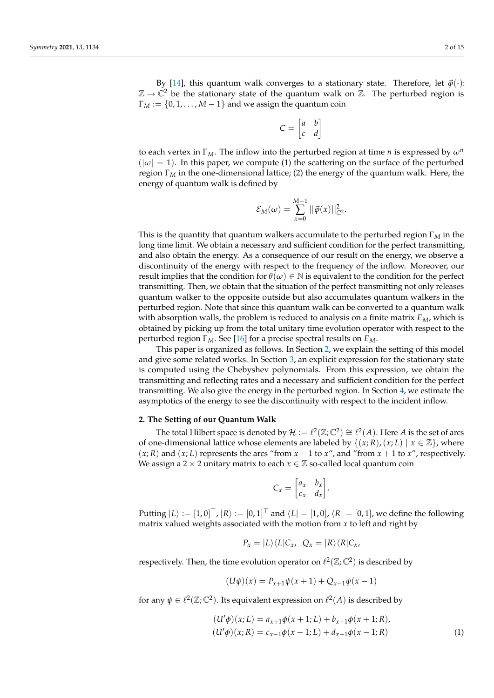By [\[14\]](#page-14-1), this quantum walk converges to a stationary state. Therefore, let  $\vec{\varphi}(\cdot)$ :  $\mathbb{Z} \to \mathbb{C}^2$  be the stationary state of the quantum walk on  $\mathbb{Z}$ . The perturbed region is  $\Gamma_M := \{0, 1, \ldots, M-1\}$  and we assign the quantum coin

$$
C = \begin{bmatrix} a & b \\ c & d \end{bmatrix}
$$

to each vertex in Γ*M*. The inflow into the perturbed region at time *n* is expressed by *ω<sup>n</sup>*  $(|\omega| = 1)$ . In this paper, we compute (1) the scattering on the surface of the perturbed region Γ*<sup>M</sup>* in the one-dimensional lattice; (2) the energy of the quantum walk. Here, the energy of quantum walk is defined by

$$
\mathcal{E}_M(\omega) = \sum_{x=0}^{M-1} ||\vec{\varphi}(x)||^2_{\mathbb{C}^2}.
$$

This is the quantity that quantum walkers accumulate to the perturbed region Γ*<sup>M</sup>* in the long time limit. We obtain a necessary and sufficient condition for the perfect transmitting, and also obtain the energy. As a consequence of our result on the energy, we observe a discontinuity of the energy with respect to the frequency of the inflow. Moreover, our result implies that the condition for  $\theta(\omega) \in \mathbb{N}$  is equivalent to the condition for the perfect transmitting. Then, we obtain that the situation of the perfect transmitting not only releases quantum walker to the opposite outside but also accumulates quantum walkers in the perturbed region. Note that since this quantum walk can be converted to a quantum walk with absorption walls, the problem is reduced to analysis on a finite matrix *EM*, which is obtained by picking up from the total unitary time evolution operator with respect to the perturbed region Γ*M*. See [\[16\]](#page-14-3) for a precise spectral results on *EM*.

This paper is organized as follows. In Section [2,](#page-1-0) we explain the setting of this model and give some related works. In Section [3,](#page-3-0) an explicit expression for the stationary state is computed using the Chebyshev polynomials. From this expression, we obtain the transmitting and reflecting rates and a necessary and sufficient condition for the perfect transmitting. We also give the energy in the perturbed region. In Section [4,](#page-9-0) we estimate the asymptotics of the energy to see the discontinuity with respect to the incident inflow.

### <span id="page-1-0"></span>**2. The Setting of our Quantum Walk**

The total Hilbert space is denoted by  $\mathcal{H} := \ell^2(\mathbb{Z};\mathbb{C}^2) \cong \ell^2(A)$ . Here *A* is the set of arcs of one-dimensional lattice whose elements are labeled by  $\{(x; R), (x; L) \mid x \in \mathbb{Z}\}$ , where  $(x; R)$  and  $(x; L)$  represents the arcs "from  $x - 1$  to  $x$ ", and "from  $x + 1$  to  $x$ ", respectively. We assign a 2  $\times$  2 unitary matrix to each  $x \in \mathbb{Z}$  so-called local quantum coin

$$
C_x = \begin{bmatrix} a_x & b_x \\ c_x & d_x \end{bmatrix}
$$

.

Putting  $|L\rangle := [1,0]^{\top}$ ,  $|R\rangle := [0,1]^{\top}$  and  $\langle L| = [1,0]$ ,  $\langle R| = [0,1]$ , we define the following matrix valued weights associated with the motion from *x* to left and right by

$$
P_x = |L\rangle\langle L|C_x, \ Q_x = |R\rangle\langle R|C_x,
$$

respectively. Then, the time evolution operator on  $\ell^2(\mathbb{Z}; \mathbb{C}^2)$  is described by

$$
(U\psi)(x) = P_{x+1}\psi(x+1) + Q_{x-1}\psi(x-1)
$$

for any  $\psi \in \ell^2(\mathbb{Z}; \mathbb{C}^2)$ . Its equivalent expression on  $\ell^2(A)$  is described by

$$
(U'\phi)(x;L) = a_{x+1}\phi(x+1;L) + b_{x+1}\phi(x+1;R),(U'\phi)(x;R) = c_{x-1}\phi(x-1;L) + d_{x-1}\phi(x-1;R)
$$
\n(1)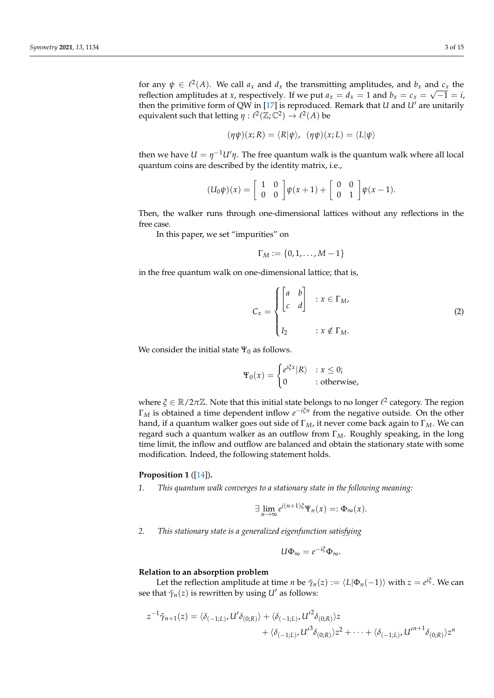for any  $\psi \in \ell^2(A)$ . We call  $a_x$  and  $d_x$  the transmitting amplitudes, and  $b_x$  and  $c_x$  the reflection amplitudes at *x*, respectively. If we put  $a_x = d_x = 1$  and  $b_x = c_x = \sqrt{-1} = i$ , then the primitive form of QW in [\[17\]](#page-14-4) is reproduced. Remark that *U* and *U'* are unitarily equivalent such that letting  $\eta : \ell^2(\mathbb{Z}; \mathbb{C}^2) \to \ell^2(A)$  be

$$
(\eta \psi)(x; R) = \langle R | \psi \rangle, \quad (\eta \psi)(x; L) = \langle L | \psi \rangle
$$

then we have  $U = \eta^{-1} U' \eta$ . The free quantum walk is the quantum walk where all local quantum coins are described by the identity matrix, i.e.,

$$
(U_0\psi)(x) = \begin{bmatrix} 1 & 0 \\ 0 & 0 \end{bmatrix} \psi(x+1) + \begin{bmatrix} 0 & 0 \\ 0 & 1 \end{bmatrix} \psi(x-1).
$$

Then, the walker runs through one-dimensional lattices without any reflections in the free case.

In this paper, we set "impurities" on

$$
\Gamma_M:=\{0,1,\ldots,M-1\}
$$

in the free quantum walk on one-dimensional lattice; that is,

$$
C_x = \begin{cases} \begin{bmatrix} a & b \\ c & d \end{bmatrix} & : x \in \Gamma_M, \\ I_2 & : x \notin \Gamma_M. \end{cases}
$$
 (2)

We consider the initial state  $\Psi_0$  as follows.

$$
\Psi_0(x) = \begin{cases} e^{i\xi x} |R\rangle & : x \leq 0; \\ 0 & : \text{otherwise,} \end{cases}
$$

where  $\xi \in \mathbb{R}/2\pi\mathbb{Z}$ . Note that this initial state belongs to no longer  $\ell^2$  category. The region  $\Gamma_M$  is obtained a time dependent inflow  $e^{-i\xi n}$  from the negative outside. On the other hand, if a quantum walker goes out side of Γ*M*, it never come back again to Γ*M*. We can regard such a quantum walker as an outflow from Γ*M*. Roughly speaking, in the long time limit, the inflow and outflow are balanced and obtain the stationary state with some modification. Indeed, the following statement holds.

# **Proposition 1** ([\[14\]](#page-14-1))**.**

*1. This quantum walk converges to a stationary state in the following meaning:*

$$
\exists \lim_{n \to \infty} e^{i(n+1)\xi} \Psi_n(x) =: \Phi_\infty(x).
$$

*2. This stationary state is a generalized eigenfunction satisfying*

$$
U\Phi_{\infty}=e^{-i\xi}\Phi_{\infty}.
$$

#### **Relation to an absorption problem**

Let the reflection amplitude at time *n* be  $\tilde{\gamma}_n(z):=\langle L|\Phi_n(-1)\rangle$  with  $z=e^{i\tilde{\zeta}}.$  We can see that  $\tilde{\gamma}_n(z)$  is rewritten by using *U'* as follows:

$$
z^{-1}\tilde{\gamma}_{n+1}(z) = \langle \delta_{(-1;L)}, U'\delta_{(0;R)} \rangle + \langle \delta_{(-1;L)}, U'^2 \delta_{(0;R)} \rangle z + \langle \delta_{(-1;L)}, U'^3 \delta_{(0;R)} \rangle z^2 + \cdots + \langle \delta_{(-1;L)}, U'^{n+1} \delta_{(0;R)} \rangle z^n
$$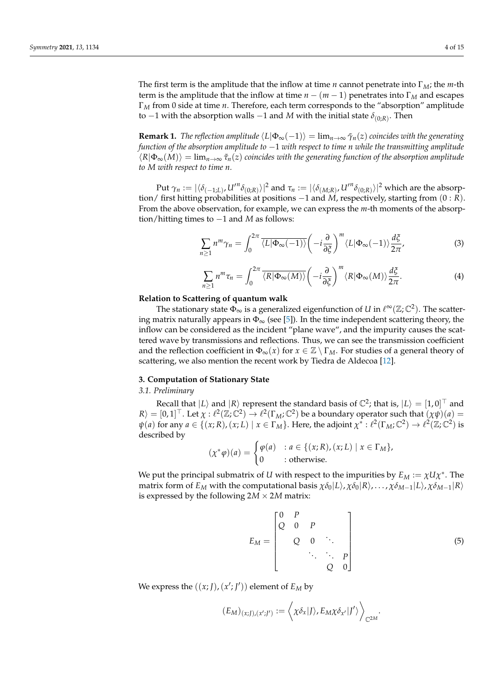The first term is the amplitude that the inflow at time *n* cannot penetrate into Γ*M*; the *m*-th term is the amplitude that the inflow at time  $n - (m - 1)$  penetrates into  $\Gamma_M$  and escapes Γ*<sup>M</sup>* from 0 side at time *n*. Therefore, each term corresponds to the "absorption" amplitude to −1 with the absorption walls −1 and *M* with the initial state  $δ_{(0,R)}$ . Then

**Remark 1.** *The reflection amplitude*  $\langle L|\Phi_{\infty}(-1)\rangle = \lim_{n\to\infty} \tilde{\gamma}_n(z)$  *coincides with the generating function of the absorption amplitude to* −1 *with respect to time n while the transmitting amplitude*  $\langle R|\Phi_{\infty}(M)\rangle = \lim_{n\to\infty} \tilde{\tau}_n(z)$  coincides with the generating function of the absorption amplitude *to M with respect to time n.*

 ${\rm Put} \ \gamma_n:=|\langle\delta_{(-1;L)},\mathcal{U}'^n\delta_{(0;R)}\rangle|^2$  and  $\tau_n:=|\langle\delta_{(M;R)},\mathcal{U}'^n\delta_{(0;R)}\rangle|^2$  which are the absorption/ first hitting probabilities at positions −1 and *M*, respectively, starting from (0 : *R*). From the above observation, for example, we can express the *m*-th moments of the absorption/hitting times to −1 and *M* as follows:

<span id="page-3-2"></span>
$$
\sum_{n\geq 1} n^m \gamma_n = \int_0^{2\pi} \overline{\langle L|\Phi_\infty(-1)\rangle} \left(-i\frac{\partial}{\partial \xi}\right)^m \langle L|\Phi_\infty(-1)\rangle \frac{d\xi}{2\pi},\tag{3}
$$

<span id="page-3-3"></span>
$$
\sum_{n\geq 1} n^m \tau_n = \int_0^{2\pi} \overline{\langle R | \Phi_\infty(M) \rangle} \left( -i \frac{\partial}{\partial \xi} \right)^m \langle R | \Phi_\infty(M) \rangle \frac{d\xi}{2\pi}.
$$
 (4)

#### **Relation to Scattering of quantum walk**

The stationary state  $\Phi_{\infty}$  is a generalized eigenfunction of *U* in  $\ell^{\infty}(\mathbb{Z};\mathbb{C}^2)$ . The scattering matrix naturally appears in  $\Phi_{\infty}$  (see [\[5\]](#page-13-3)). In the time independent scattering theory, the inflow can be considered as the incident "plane wave", and the impurity causes the scattered wave by transmissions and reflections. Thus, we can see the transmission coefficient and the reflection coefficient in  $\Phi_{\infty}(x)$  for  $x \in \mathbb{Z} \setminus \Gamma_M$ . For studies of a general theory of scattering, we also mention the recent work by Tiedra de Aldecoa [\[12\]](#page-13-5).

## <span id="page-3-0"></span>**3. Computation of Stationary State**

*3.1. Preliminary*

Recall that  $|L\rangle$  and  $|R\rangle$  represent the standard basis of  $\mathbb{C}^2$ ; that is,  $|L\rangle = [1,0]^{\top}$  and  $\mathcal{R}$  =  $[0,1]^\top$ . Let  $\chi : \ell^2(\mathbb{Z}; \mathbb{C}^2) \to \ell^2(\Gamma_M; \mathbb{C}^2)$  be a boundary operator such that  $(\chi \psi)(a)$  =  $\psi(a)$  for any  $a \in \{(x; R), (x; L) \mid x \in \Gamma_M\}$ . Here, the adjoint  $\chi^* : \ell^2(\Gamma_M; \mathbb{C}^2) \to \ell^2(\mathbb{Z}; \mathbb{C}^2)$  is described by

$$
(\chi^*\varphi)(a) = \begin{cases} \varphi(a) & : a \in \{(x;R), (x;L) \mid x \in \Gamma_M\}, \\ 0 & : \text{otherwise.} \end{cases}
$$

We put the principal submatrix of *U* with respect to the impurities by  $E_M := \chi U \chi^*$ . The matrix form of *E<sub>M</sub>* with the computational basis  $\chi \delta_0 |L\rangle$ ,  $\chi \delta_0 |R\rangle$ , ...,  $\chi \delta_{M-1} |L\rangle$ ,  $\chi \delta_{M-1} |R\rangle$ is expressed by the following  $2M \times 2M$  matrix:

<span id="page-3-1"></span>
$$
E_M = \begin{bmatrix} 0 & P & & & \\ Q & 0 & P & & \\ & Q & 0 & \ddots & \\ & & \ddots & \ddots & P \\ & & & Q & 0 \end{bmatrix}
$$
 (5)

We express the  $((x; J), (x'; J'))$  element of  $E_M$  by

$$
(E_M)_{(x;J),(x';J')} := \left\langle \chi \delta_x | J \rangle, E_M \chi \delta_{x'} | J' \rangle \right\rangle_{\mathbb{C}^{2M}}.
$$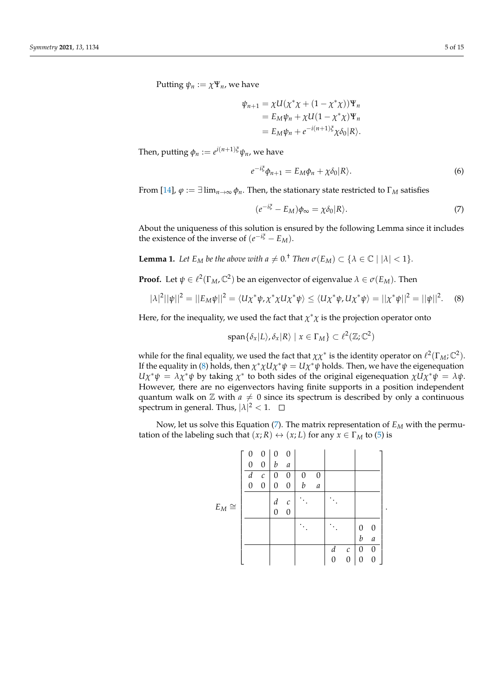Putting  $\psi_n := \chi \Psi_n$ , we have

$$
\psi_{n+1} = \chi U(\chi^* \chi + (1 - \chi^* \chi))\Psi_n
$$
  
=  $E_M \psi_n + \chi U(1 - \chi^* \chi)\Psi_n$   
=  $E_M \psi_n + e^{-i(n+1)\xi} \chi \delta_0 |R\rangle$ .

Then, putting  $\phi_n := e^{i(n+1)\xi} \psi_n$ , we have

$$
e^{-i\xi}\phi_{n+1} = E_M\phi_n + \chi\delta_0|R\rangle.
$$
 (6)

From [\[14\]](#page-14-1),  $\varphi := \exists \lim_{n \to \infty} \varphi_n$ . Then, the stationary state restricted to  $\Gamma_M$  satisfies

<span id="page-4-1"></span><span id="page-4-0"></span>
$$
(e^{-i\xi} - E_M)\phi_{\infty} = \chi \delta_0 |R\rangle.
$$
 (7)

.

About the uniqueness of this solution is ensured by the following Lemma since it includes the existence of the inverse of  $(e^{-i\xi} - E_M)$ .

**Lemma 1.** Let  $E_M$  be the above with  $a \neq 0$ .<sup>†</sup> Then  $\sigma(E_M) \subset \{ \lambda \in \mathbb{C} \mid |\lambda| < 1 \}$ .

**Proof.** Let  $\psi \in \ell^2(\Gamma_M, \mathbb{C}^2)$  be an eigenvector of eigenvalue  $\lambda \in \sigma(E_M)$ . Then

$$
|\lambda|^2 ||\psi||^2 = ||E_M \psi||^2 = \langle U \chi^* \psi, \chi^* \chi U \chi^* \psi \rangle \le \langle U \chi^* \psi, U \chi^* \psi \rangle = ||\chi^* \psi||^2 = ||\psi||^2. \tag{8}
$$

Here, for the inequality, we used the fact that  $\chi^*\chi$  is the projection operator onto

$$
\mathrm{span}\{\delta_x|L\rangle,\delta_x|R\rangle \mid x \in \Gamma_M\} \subset \ell^2(\mathbb{Z};\mathbb{C}^2)
$$

while for the final equality, we used the fact that  $\chi\chi^*$  is the identity operator on  $\ell^2(\Gamma_M;\mathbb{C}^2)$ . If the equality in [\(8\)](#page-4-0) holds, then  $\chi^* \chi U \chi^* \psi = U \chi^* \psi$  holds. Then, we have the eigenequation  $U\chi^*\psi = \lambda \chi^*\psi$  by taking  $\chi^*$  to both sides of the original eigenequation  $\chi U\chi^*\psi = \lambda\psi$ . However, there are no eigenvectors having finite supports in a position independent quantum walk on  $\mathbb Z$  with  $a \neq 0$  since its spectrum is described by only a continuous spectrum in general. Thus,  $|\lambda|^2 < 1$ .

Now, let us solve this Equation [\(7\)](#page-4-1). The matrix representation of  $E_M$  with the permutation of the labeling such that  $(x; R) \leftrightarrow (x; L)$  for any  $x \in \Gamma_M$  to [\(5\)](#page-3-1) is

|             | 0 | 0                 | $\Omega$ | 0            |   |                  |   |                  |                |                  |  |
|-------------|---|-------------------|----------|--------------|---|------------------|---|------------------|----------------|------------------|--|
|             | 0 | 0                 | b        | а            |   |                  |   |                  |                |                  |  |
|             | d | $\mathcal{C}_{0}$ | 0        | 0            | 0 | 0                |   |                  |                |                  |  |
|             | 0 | 0                 | 0        | 0            | b | $\boldsymbol{a}$ |   |                  |                |                  |  |
|             |   |                   | d        | $\mathcal C$ |   |                  |   |                  |                |                  |  |
| $E_M \cong$ |   |                   | 0        | 0            |   |                  |   |                  |                |                  |  |
|             |   |                   |          |              |   |                  |   |                  | 0              | 0                |  |
|             |   |                   |          |              |   |                  |   |                  | b              | $\boldsymbol{a}$ |  |
|             |   |                   |          |              |   |                  | d | $\mathcal C$     | $\overline{0}$ | 0                |  |
|             |   |                   |          |              |   |                  | 0 | $\boldsymbol{0}$ | 0              | 0                |  |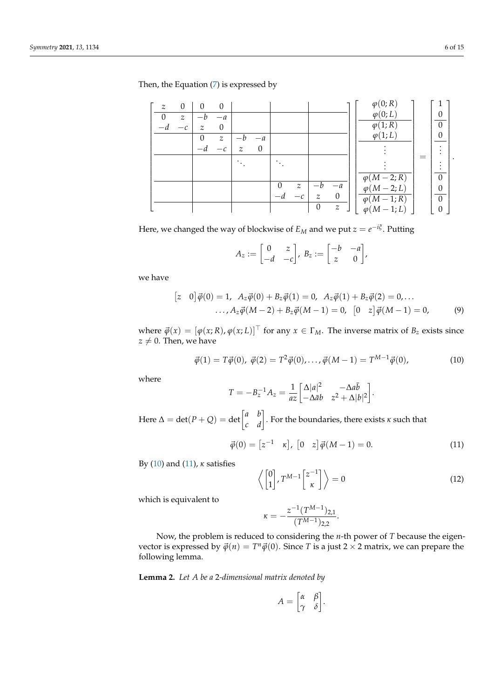Then, the Equation [\(7\)](#page-4-1) is expressed by

| $\mathcal{Z}$ | $\theta$         | $\Omega$ | $\theta$      |   |      |               |          |                  | $\varphi(0;R)$           |          |  |
|---------------|------------------|----------|---------------|---|------|---------------|----------|------------------|--------------------------|----------|--|
| 0             | $\boldsymbol{z}$ |          | $-a$          |   |      |               |          |                  | $\varphi(0;L)$           |          |  |
| а             |                  | z        | $\theta$      |   |      |               |          |                  | $\varphi(1;R)$           | $\Omega$ |  |
|               |                  |          | $\mathcal{Z}$ |   | $-a$ |               |          |                  | $\varphi(1;L)$           | 0        |  |
|               |                  |          | $-c$          | z | 0    |               |          |                  |                          |          |  |
|               |                  |          |               |   |      |               |          |                  |                          |          |  |
|               |                  |          |               |   |      |               |          |                  |                          |          |  |
|               |                  |          |               |   |      |               |          |                  | $\varphi(M-2;R)$         | 0        |  |
|               |                  |          |               |   |      | $\mathcal{Z}$ |          | $-a$             | $(M-2;L)$<br>$\varphi$ ( | 0        |  |
|               |                  |          |               |   |      |               | z        | 0                | $\varphi(M-1;R)$         | $\Omega$ |  |
|               |                  |          |               |   |      |               | $\theta$ | $\boldsymbol{z}$ | $\varphi(M-1;L)$         | 0        |  |

Here, we changed the way of blockwise of  $E_M$  and we put  $z = e^{-i\xi}$ . Putting

$$
A_z := \begin{bmatrix} 0 & z \\ -d & -c \end{bmatrix}, B_z := \begin{bmatrix} -b & -a \\ z & 0 \end{bmatrix},
$$

we have

$$
\begin{aligned} \n\left[z \quad 0\right] \vec{\varphi}(0) &= 1, \ A_z \vec{\varphi}(0) + B_z \vec{\varphi}(1) = 0, \ A_z \vec{\varphi}(1) + B_z \vec{\varphi}(2) = 0, \dots \\ \n\cdots, A_z \vec{\varphi}(M-2) + B_z \vec{\varphi}(M-1) &= 0, \ \left[0 \quad z\right] \vec{\varphi}(M-1) = 0, \n\end{aligned} \tag{9}
$$

where  $\vec{\varphi}(x) = [\varphi(x;R), \varphi(x;L)]^{\top}$  for any  $x \in \Gamma_M$ . The inverse matrix of  $B_z$  exists since  $z \neq 0$ . Then, we have

$$
\vec{\varphi}(1) = T\vec{\varphi}(0), \ \vec{\varphi}(2) = T^2\vec{\varphi}(0), \dots, \vec{\varphi}(M-1) = T^{M-1}\vec{\varphi}(0), \tag{10}
$$

where

$$
T = -B_z^{-1}A_z = \frac{1}{az} \begin{bmatrix} \Delta |a|^2 & -\Delta a\bar{b} \\ -\Delta \bar{a}b & z^2 + \Delta |b|^2 \end{bmatrix}.
$$
  
Here  $\Delta = \det(P + Q) = \det \begin{bmatrix} a & b \\ c & d \end{bmatrix}$ . For the boundaries, there exists  $\kappa$  such that

<span id="page-5-1"></span>
$$
\vec{\varphi}(0) = [z^{-1} \quad \kappa], \ [0 \quad z] \vec{\varphi}(M-1) = 0. \tag{11}
$$

By [\(10\)](#page-5-0) and [\(11\)](#page-5-1), *κ* satisfies

<span id="page-5-0"></span>
$$
\left\langle \begin{bmatrix} 0 \\ 1 \end{bmatrix}, T^{M-1} \begin{bmatrix} z^{-1} \\ \kappa \end{bmatrix} \right\rangle = 0 \tag{12}
$$

which is equivalent to

$$
\kappa = -\frac{z^{-1}(T^{M-1})_{2,1}}{(T^{M-1})_{2,2}}.
$$

Now, the problem is reduced to considering the *n*-th power of *T* because the eigenvector is expressed by  $\vec{\varphi}(n) = T^n \vec{\varphi}(0)$ . Since *T* is a just 2 × 2 matrix, we can prepare the following lemma.

<span id="page-5-2"></span>**Lemma 2.** *Let A be a* 2*-dimensional matrix denoted by*

$$
A = \begin{bmatrix} \alpha & \beta \\ \gamma & \delta \end{bmatrix}
$$

.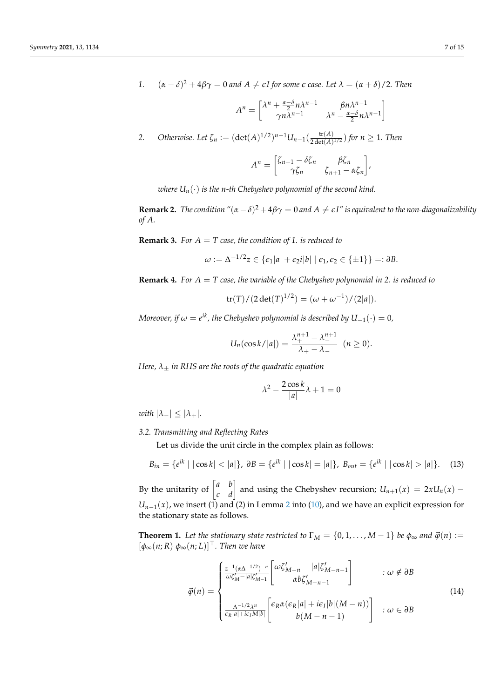*1.*  $(\alpha - \delta)^2 + 4\beta\gamma = 0$  *and*  $A \neq \epsilon I$  for some  $\epsilon$  *case.* Let  $\lambda = (\alpha + \delta)/2$ . Then

$$
A^{n} = \begin{bmatrix} \lambda^{n} + \frac{\alpha - \delta}{2} n \lambda^{n-1} & \beta n \lambda^{n-1} \\ \gamma n \lambda^{n-1} & \lambda^{n} - \frac{\alpha - \delta}{2} n \lambda^{n-1} \end{bmatrix}
$$

2. Otherwise. Let 
$$
\zeta_n := (\det(A)^{1/2})^{n-1} U_{n-1}(\frac{\operatorname{tr}(A)}{2\det(A)^{1/2}})
$$
 for  $n \ge 1$ . Then

$$
A^{n} = \begin{bmatrix} \zeta_{n+1} - \delta \zeta_{n} & \beta \zeta_{n} \\ \gamma \zeta_{n} & \zeta_{n+1} - \alpha \zeta_{n} \end{bmatrix},
$$

*where*  $U_n(\cdot)$  *is the n-th Chebyshev polynomial of the second kind.* 

**Remark 2.** *The condition*  $\alpha(\alpha - \delta)^2 + 4\beta\gamma = 0$  *and*  $A \neq \epsilon I''$  *is equivalent to the non-diagonalizability of A.*

**Remark 3.** *For A* = *T case, the condition of 1. is reduced to*

$$
\omega := \Delta^{-1/2} z \in \{ \epsilon_1 |a| + \epsilon_2 i |b| \mid \epsilon_1, \epsilon_2 \in \{ \pm 1 \} \} =: \partial B.
$$

**Remark 4.** *For A* = *T case, the variable of the Chebyshev polynomial in 2. is reduced to*

$$
tr(T)/(2 det(T)^{1/2}) = (\omega + \omega^{-1})/(2|a|).
$$

*Moreover, if*  $\omega = e^{ik}$ *, the Chebyshev polynomial is described by*  $U_{-1}(\cdot) = 0$ *,* 

$$
U_n(\cos k/|a|)=\frac{\lambda_+^{n+1}-\lambda_-^{n+1}}{\lambda_+-\lambda_-}\ \ (n\geq 0).
$$

*Here, λ*± *in RHS are the roots of the quadratic equation*

$$
\lambda^2 - \frac{2\cos k}{|a|}\lambda + 1 = 0
$$

*with*  $|\lambda_-| \leq |\lambda_+|$ *.* 

## *3.2. Transmitting and Reflecting Rates*

Let us divide the unit circle in the complex plain as follows:

$$
B_{in} = \{e^{ik} \mid |\cos k| < |a|\}, \ \partial B = \{e^{ik} \mid |\cos k| = |a|\}, \ B_{out} = \{e^{ik} \mid |\cos k| > |a|\}. \tag{13}
$$

By the unitarity of  $\begin{bmatrix} a & b \\ c & d \end{bmatrix}$  and using the Chebyshev recursion;  $U_{n+1}(x) = 2xU_n(x) U_{n-1}(x)$ , we insert (1) and ([2](#page-5-2)) in Lemma 2 into [\(10\)](#page-5-0), and we have an explicit expression for the stationary state as follows.

<span id="page-6-0"></span>**Theorem 1.** Let the stationary state restricted to  $\Gamma_M = \{0, 1, ..., M-1\}$  be  $\phi_\infty$  and  $\vec{\phi}(n) :=$  $[\phi_{\infty}(n; R) \phi_{\infty}(n; L)]^{\top}$ . Then we have

$$
\vec{\varphi}(n) = \begin{cases}\n\frac{z^{-1}(\alpha \Delta^{-1/2})^{-n}}{\omega \zeta_M^r - |a| \zeta_{M-1}^r} \left[ \omega \zeta_{M-n}^r - |a| \zeta_{M-n-1}^r \right] & \colon \omega \notin \partial B \\
\frac{\Delta^{-1/2} \lambda^n}{\varepsilon_R |a| + i\varepsilon_I M |b|} \left[ \varepsilon_R \alpha (\varepsilon_R |a| + i\varepsilon_I |b| (M - n)) \right] & \colon \omega \in \partial B \\
b(M - n - 1)\n\end{cases} (14)
$$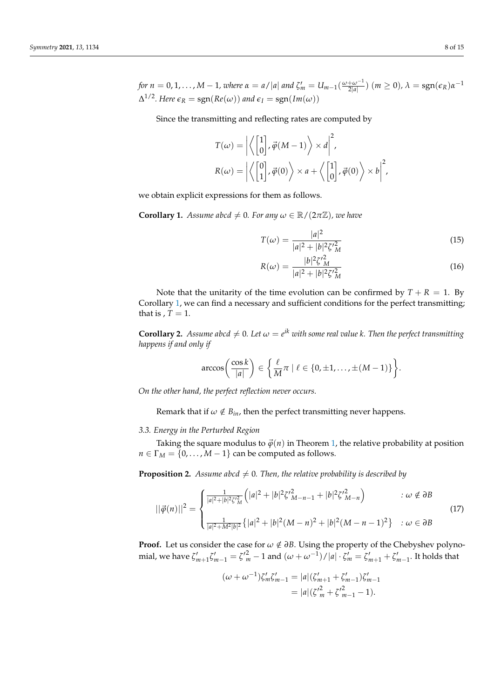Since the transmitting and reflecting rates are computed by

$$
T(\omega) = \left| \left\langle \begin{bmatrix} 1 \\ 0 \end{bmatrix}, \vec{\varphi}(M-1) \right\rangle \times d \right|^2,
$$
  

$$
R(\omega) = \left| \left\langle \begin{bmatrix} 0 \\ 1 \end{bmatrix}, \vec{\varphi}(0) \right\rangle \times d + \left\langle \begin{bmatrix} 1 \\ 0 \end{bmatrix}, \vec{\varphi}(0) \right\rangle \times b \right|^2,
$$

we obtain explicit expressions for them as follows.

<span id="page-7-0"></span>**Corollary 1.** *Assume abcd*  $\neq$  0*. For any*  $\omega \in \mathbb{R}/(2\pi\mathbb{Z})$ *, we have* 

$$
T(\omega) = \frac{|a|^2}{|a|^2 + |b|^2 \zeta'_{M}^2}
$$
 (15)

$$
R(\omega) = \frac{|b|^2 \zeta'_{M}^2}{|a|^2 + |b|^2 \zeta'_{M}^2}
$$
\n(16)

Note that the unitarity of the time evolution can be confirmed by  $T + R = 1$ . By Corollary [1,](#page-7-0) we can find a necessary and sufficient conditions for the perfect transmitting; that is  $, T = 1$ .

**Corollary 2.** Assume abcd  $\neq 0$ . Let  $\omega = e^{ik}$  with some real value k. Then the perfect transmitting *happens if and only if*

$$
\arccos\bigg(\frac{\cos k}{|a|}\bigg) \in \bigg\{\frac{\ell}{M}\pi \mid \ell \in \{0, \pm 1, \ldots, \pm (M-1)\}\bigg\}.
$$

*On the other hand, the perfect reflection never occurs.*

Remark that if  $\omega \notin B_{in}$ , then the perfect transmitting never happens.

## *3.3. Energy in the Perturbed Region*

Taking the square modulus to  $\vec{\varphi}(n)$  in Theorem [1,](#page-6-0) the relative probability at position  $n \in \Gamma_M = \{0, \ldots, M-1\}$  can be computed as follows.

**Proposition 2.** *Assume abcd*  $\neq$  0*. Then, the relative probability is described by* 

<span id="page-7-1"></span>
$$
||\vec{\varphi}(n)||^2 = \begin{cases} \frac{1}{|a|^2 + |b|^2 \zeta'_{M}^2} \left( |a|^2 + |b|^2 \zeta'_{M-n-1}^2 + |b|^2 \zeta'_{M-n}^2 \right) & \text{: } \omega \notin \partial B \\ \frac{1}{|a|^2 + M^2 |b|^2} \left\{ |a|^2 + |b|^2 (M-n)^2 + |b|^2 (M-n-1)^2 \right\} & \text{: } \omega \in \partial B \end{cases}
$$
(17)

**Proof.** Let us consider the case for  $\omega \notin \partial B$ . Using the property of the Chebyshev polynomial, we have  $\zeta'_{m+1}\zeta'_{m-1} = {\zeta'}_m^2 - 1$  and  $(\omega + \omega^{-1})/|a| \cdot \zeta'_m = \zeta'_{m+1} + \zeta'_{m-1}$ . It holds that

$$
(\omega + \omega^{-1})\zeta'_{m}\zeta'_{m-1} = |a|(\zeta'_{m+1} + \zeta'_{m-1})\zeta'_{m-1}
$$
  
=  $|a|(\zeta'^{2}_{m} + \zeta'^{2}_{m-1} - 1).$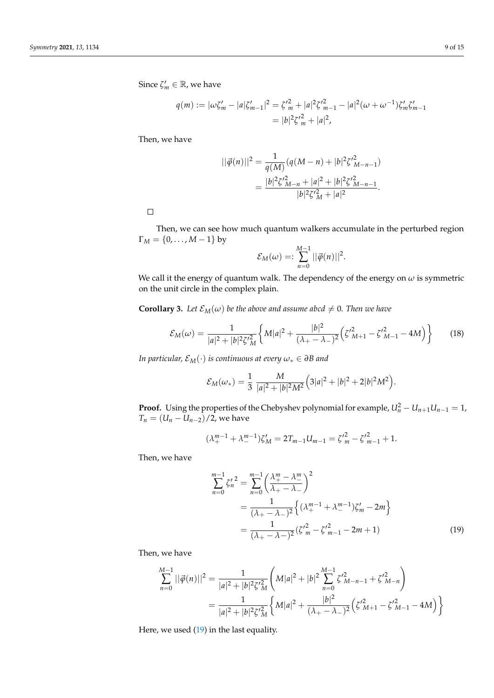$$
q(m) := |\omega \zeta'_{m} - |a| \zeta'_{m-1}|^2 = \zeta'^{2}_{m} + |a|^{2} \zeta'^{2}_{m-1} - |a|^{2} (\omega + \omega^{-1}) \zeta'_{m} \zeta'_{m-1}
$$
  
=  $|b|^{2} \zeta'^{2}_{m} + |a|^{2}$ ,

Then, we have

$$
||\vec{\varphi}(n)||^2 = \frac{1}{q(M)}(q(M-n) + |b|^2 \zeta^{\prime 2}_{M-n-1})
$$
  
= 
$$
\frac{|b|^2 \zeta^{\prime 2}_{M-n} + |a|^2 + |b|^2 \zeta^{\prime 2}_{M-n-1}}{|b|^2 \zeta^{\prime 2}_{M} + |a|^2}.
$$

 $\Box$ 

Then, we can see how much quantum walkers accumulate in the perturbed region  $\Gamma_M = \{0, ..., M-1\}$  by

$$
\mathcal{E}_M(\omega) = \sum_{n=0}^{M-1} ||\vec{\varphi}(n)||^2.
$$

We call it the energy of quantum walk. The dependency of the energy on  $\omega$  is symmetric on the unit circle in the complex plain.

<span id="page-8-2"></span>**Corollary 3.** *Let*  $\mathcal{E}_M(\omega)$  *be the above and assume abcd*  $\neq 0$ *. Then we have* 

<span id="page-8-1"></span>
$$
\mathcal{E}_M(\omega) = \frac{1}{|a|^2 + |b|^2 \zeta_A^2} \left\{ M|a|^2 + \frac{|b|^2}{(\lambda_+ - \lambda_-)^2} \left( \zeta_{M+1}^2 - \zeta_{M-1}^2 - 4M \right) \right\} \tag{18}
$$

*In particular,*  $\mathcal{E}_M(\cdot)$  *is continuous at every*  $\omega_* \in \partial B$  *and* 

$$
\mathcal{E}_M(\omega_*) = \frac{1}{3} \frac{M}{|a|^2 + |b|^2 M^2} \Big( 3|a|^2 + |b|^2 + 2|b|^2 M^2 \Big).
$$

**Proof.** Using the properties of the Chebyshev polynomial for example,  $U_n^2 - U_{n+1}U_{n-1} = 1$ , *T<sub>n</sub>* =  $(U_n - U_{n-2})/2$ , we have

$$
(\lambda_+^{m-1} + \lambda_-^{m-1})\zeta_M' = 2T_{m-1}U_{m-1} = {\zeta'}_m^2 - {\zeta'}_{m-1}^2 + 1.
$$

Then, we have

<span id="page-8-0"></span>
$$
\sum_{n=0}^{m-1} {\zeta'_n}^2 = \sum_{n=0}^{m-1} {\left(\frac{\lambda_+^m - \lambda_-^m}{\lambda_+ - \lambda_-}\right)}^2
$$
  
=  $\frac{1}{(\lambda_+ - \lambda_-)^2} \left\{ (\lambda_+^{m-1} + \lambda_-^{m-1}) \zeta'_m - 2m \right\}$   
=  $\frac{1}{(\lambda_+ - \lambda_-)^2} ({\zeta'}_m^2 - {\zeta'}_{m-1}^2 - 2m + 1)$  (19)

Then, we have

$$
\sum_{n=0}^{M-1} ||\vec{\varphi}(n)||^2 = \frac{1}{|a|^2 + |b|^2 \zeta^2 \frac{2}{M}} \left( M|a|^2 + |b|^2 \sum_{n=0}^{M-1} \zeta^2 \frac{2}{M-n-1} + \zeta^2 \frac{2}{M-n} \right)
$$
  
= 
$$
\frac{1}{|a|^2 + |b|^2 \zeta^2 \frac{2}{M}} \left\{ M|a|^2 + \frac{|b|^2}{(\lambda_+ - \lambda_-)^2} \left( \zeta^2 \frac{2}{M+1} - \zeta^2 \frac{2}{M-1} - 4M \right) \right\}
$$

Here, we used [\(19\)](#page-8-0) in the last equality.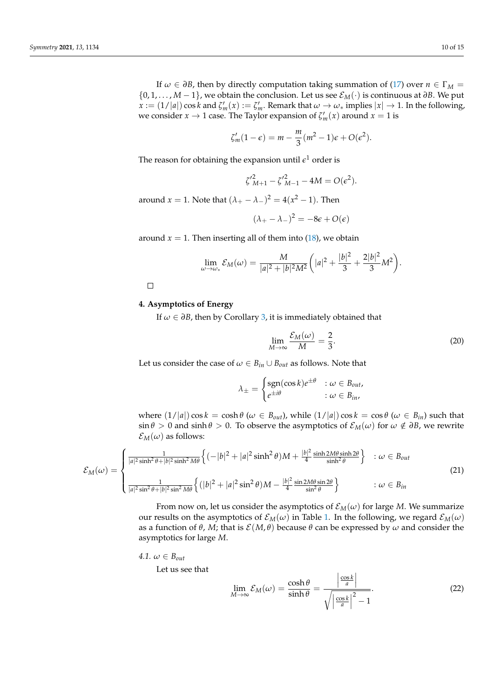If  $\omega \in \partial B$ , then by directly computation taking summation of [\(17\)](#page-7-1) over  $n \in \Gamma_M$  = {0, 1, . . . , *M* − 1}, we obtain the conclusion. Let us see E*M*(·) is continuous at *∂B*. We put  $x := (1/|a|) \cos k$  and  $\zeta'_m(x) := \zeta'_m$ . Remark that  $\omega \to \omega_*$  implies  $|x| \to 1$ . In the following, we consider  $x \to 1$  case. The Taylor expansion of  $\zeta_m'(x)$  around  $x = 1$  is

$$
\zeta'_m(1-\epsilon) = m - \frac{m}{3}(m^2 - 1)\epsilon + O(\epsilon^2).
$$

The reason for obtaining the expansion until  $\epsilon^1$  order is

$$
\zeta'^{2}_{M+1} - \zeta'^{2}_{M-1} - 4M = O(\epsilon^{2}).
$$

around  $x = 1$ . Note that  $(\lambda_{+} - \lambda_{-})^2 = 4(x^2 - 1)$ . Then

$$
(\lambda_+ - \lambda_-)^2 = -8\epsilon + O(\epsilon)
$$

around  $x = 1$ . Then inserting all of them into  $(18)$ , we obtain

$$
\lim_{\omega \to \omega_*} \mathcal{E}_M(\omega) = \frac{M}{|a|^2 + |b|^2 M^2} \bigg( |a|^2 + \frac{|b|^2}{3} + \frac{2|b|^2}{3} M^2 \bigg).
$$

 $\Box$ 

## <span id="page-9-0"></span>**4. Asymptotics of Energy**

If *ω* ∈ *∂B*, then by Corollary [3,](#page-8-2) it is immediately obtained that

<span id="page-9-3"></span><span id="page-9-1"></span>
$$
\lim_{M \to \infty} \frac{\mathcal{E}_M(\omega)}{M} = \frac{2}{3}.
$$
\n(20)

Let us consider the case of  $\omega \in B_{in} \cup B_{out}$  as follows. Note that

$$
\lambda_{\pm} = \begin{cases} \text{sgn}(\cos k)e^{\pm \theta} & \colon \omega \in B_{out}, \\ e^{\pm i\theta} & \colon \omega \in B_{in}, \end{cases}
$$

where  $(1/|a|) \cos k = \cosh \theta$  ( $\omega \in B_{out}$ ), while  $(1/|a|) \cos k = \cos \theta$  ( $\omega \in B_{in}$ ) such that  $\sin \theta > 0$  and  $\sinh \theta > 0$ . To observe the asymptotics of  $\mathcal{E}_M(\omega)$  for  $\omega \notin \partial B$ , we rewrite  $\mathcal{E}_M(\omega)$  as follows:

$$
\mathcal{E}_M(\omega) = \begin{cases}\n\frac{1}{|a|^2 \sinh^2 \theta + |b|^2 \sinh^2 M \theta} \left\{ (-|b|^2 + |a|^2 \sinh^2 \theta) M + \frac{|b|^2}{4} \frac{\sinh 2M \theta \sinh 2\theta}{\sinh^2 \theta} \right\} & \colon \omega \in B_{out} \\
\frac{1}{|a|^2 \sin^2 \theta + |b|^2 \sin^2 M \theta} \left\{ (|b|^2 + |a|^2 \sin^2 \theta) M - \frac{|b|^2}{4} \frac{\sin 2M \theta \sin 2\theta}{\sin^2 \theta} \right\} & \colon \omega \in B_{in} \n\end{cases}
$$
\n(21)

From now on, let us consider the asymptotics of  $\mathcal{E}_M(\omega)$  for large *M*. We summarize our results on the asymptotics of  $\mathcal{E}_M(\omega)$  in Table [1.](#page-12-0) In the following, we regard  $\mathcal{E}_M(\omega)$ as a function of  $\theta$ , *M*; that is  $\mathcal{E}(M, \theta)$  because  $\theta$  can be expressed by  $\omega$  and consider the asymptotics for large *M*.

$$
4.1. \ \omega \in B_{out}
$$

Let us see that

<span id="page-9-2"></span>
$$
\lim_{M \to \infty} \mathcal{E}_M(\omega) = \frac{\cosh \theta}{\sinh \theta} = \frac{\left| \frac{\cos k}{a} \right|}{\sqrt{\left| \frac{\cos k}{a} \right|^2 - 1}}.
$$
\n(22)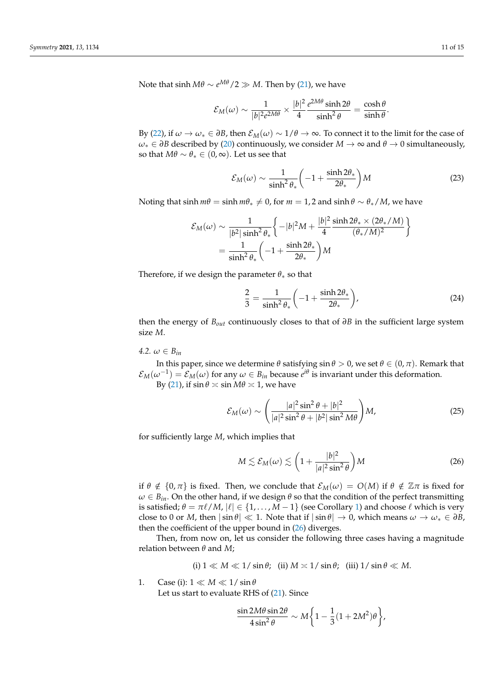Note that  $\sinh M\theta \sim e^{M\theta}/2 \gg M$ . Then by [\(21\)](#page-9-1), we have

$$
\mathcal{E}_M(\omega) \sim \frac{1}{|b|^2 e^{2M\theta}} \times \frac{|b|^2}{4} \frac{e^{2M\theta} \sinh 2\theta}{\sinh^2 \theta} = \frac{\cosh \theta}{\sinh \theta}.
$$

By [\(22\)](#page-9-2), if  $\omega \to \omega_* \in \partial B$ , then  $\mathcal{E}_M(\omega) \sim 1/\theta \to \infty$ . To connect it to the limit for the case of  $ω<sub>∗</sub> ∈ ∂B$  described by [\(20\)](#page-9-3) continuously, we consider  $M → ∞$  and  $θ → 0$  simultaneously, so that  $M\theta \sim \theta_* \in (0, \infty)$ . Let us see that

$$
\mathcal{E}_M(\omega) \sim \frac{1}{\sinh^2 \theta_*} \left( -1 + \frac{\sinh 2\theta_*}{2\theta_*} \right) M \tag{23}
$$

Noting that  $\sinh m\theta = \sinh m\theta_* \neq 0$ , for  $m = 1, 2$  and  $\sinh \theta \sim \theta_* / M$ , we have

$$
\mathcal{E}_M(\omega) \sim \frac{1}{|b^2|\sinh^2\theta_*} \left\{-|b|^2 M + \frac{|b|^2}{4} \frac{\sinh 2\theta_* \times (2\theta_* / M)}{(\theta_* / M)^2} \right\}
$$

$$
= \frac{1}{\sinh^2\theta_*} \left(-1 + \frac{\sinh 2\theta_*}{2\theta_*}\right) M
$$

Therefore, if we design the parameter  $\theta_*$  so that

$$
\frac{2}{3} = \frac{1}{\sinh^2 \theta_*} \left( -1 + \frac{\sinh 2\theta_*}{2\theta_*} \right),\tag{24}
$$

then the energy of *Bout* continuously closes to that of *∂B* in the sufficient large system size *M*.

*4.2.*  $\omega \in B_{in}$ 

In this paper, since we determine  $\theta$  satisfying  $\sin \theta > 0$ , we set  $\theta \in (0, \pi)$ . Remark that  $\mathcal{E}_M(\omega^{-1}) = \mathcal{E}_M(\omega)$  for any  $\omega \in B_{in}$  because  $e^{i\theta}$  is invariant under this deformation. By [\(21\)](#page-9-1), if  $\sin \theta \simeq \sin M\theta \simeq 1$ , we have

> <span id="page-10-1"></span> $\mathcal{E}_M(\omega)\sim$  $\int$   $|a|^2 \sin^2 \theta + |b|^2$  $|a|^2 \sin^2 \theta + |b^2| \sin^2 M\theta$  $\setminus$ *M*, (25)

for sufficiently large *M*, which implies that

<span id="page-10-0"></span>
$$
M \lesssim \mathcal{E}_M(\omega) \lesssim \left(1 + \frac{|b|^2}{|a|^2 \sin^2 \theta}\right) M \tag{26}
$$

if  $\theta \notin \{0, \pi\}$  is fixed. Then, we conclude that  $\mathcal{E}_M(\omega) = O(M)$  if  $\theta \notin \mathbb{Z}\pi$  is fixed for  $\omega \in B_{in}$ . On the other hand, if we design  $\theta$  so that the condition of the perfect transmitting is satisfied;  $\theta = \pi \ell / M$ ,  $|\ell| \in \{1, ..., M - 1\}$  (see Corollary [1\)](#page-7-0) and choose  $\ell$  which is very close to 0 or *M*, then  $|\sin \theta| \ll 1$ . Note that if  $|\sin \theta| \to 0$ , which means  $\omega \to \omega_* \in \partial B$ , then the coefficient of the upper bound in [\(26\)](#page-10-0) diverges.

Then, from now on, let us consider the following three cases having a magnitude relation between *θ* and *M*;

(i) 
$$
1 \ll M \ll 1/\sin \theta
$$
; (ii)  $M \approx 1/\sin \theta$ ; (iii)  $1/\sin \theta \ll M$ .

1. Case (i):  $1 \ll M \ll 1/\sin\theta$ Let us start to evaluate RHS of [\(21\)](#page-9-1). Since

$$
\frac{\sin 2M\theta \sin 2\theta}{4\sin^2\theta} \sim M\bigg\{1-\frac{1}{3}(1+2M^2)\theta\bigg\},
$$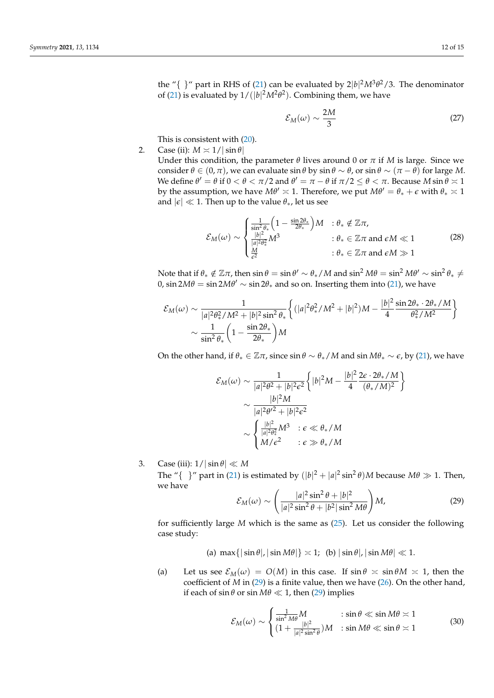the "{ }" part in RHS of [\(21\)](#page-9-1) can be evaluated by  $2|b|^2M^3\theta^2/3$ . The denominator of [\(21\)](#page-9-1) is evaluated by  $1/(|b|^2M^2\theta^2)$ . Combining them, we have

$$
\mathcal{E}_M(\omega) \sim \frac{2M}{3} \tag{27}
$$

This is consistent with [\(20\)](#page-9-3).

2. Case (ii):  $M \approx 1/|\sin \theta|$ 

Under this condition, the parameter  $\theta$  lives around 0 or  $\pi$  if *M* is large. Since we consider  $\theta \in (0, \pi)$ , we can evaluate  $\sin \theta$  by  $\sin \theta \sim \theta$ , or  $\sin \theta \sim (\pi - \theta)$  for large *M*. We define  $\theta' = \theta$  if  $0 < \theta < \pi/2$  and  $\theta' = \pi - \theta$  if  $\pi/2 \le \theta < \pi$ . Because  $M \sin \theta \approx 1$ by the assumption, we have  $M\theta' \approx 1$ . Therefore, we put  $M\theta' = \theta_* + \epsilon$  with  $\theta_* \asymp 1$ and  $|\epsilon| \ll 1$ . Then up to the value  $\theta_*$ , let us see

$$
\mathcal{E}_M(\omega) \sim \begin{cases} \frac{1}{\sin^2 \theta_*} \left( 1 - \frac{\sin 2\theta_*}{2\theta_*} \right) M & : \theta_* \notin \mathbb{Z}\pi, \\ \frac{|b|^2}{|a|^2 \theta_*^2} M^3 & : \theta_* \in \mathbb{Z}\pi \text{ and } \epsilon M \ll 1 \\ \frac{M}{\epsilon^2} & : \theta_* \in \mathbb{Z}\pi \text{ and } \epsilon M \gg 1 \end{cases} \tag{28}
$$

Note that if  $\theta_* \notin \mathbb{Z}\pi$ , then  $\sin \theta = \sin \theta' \sim \theta_*/M$  and  $\sin^2 M\theta = \sin^2 M\theta' \sim \sin^2 \theta_* \neq 0$ 0,  $\sin 2M\theta = \sin 2M\theta' \sim \sin 2\theta_*$  and so on. Inserting them into [\(21\)](#page-9-1), we have

$$
\mathcal{E}_M(\omega) \sim \frac{1}{|a|^2 \theta_*^2 / M^2 + |b|^2 \sin^2 \theta_*} \left\{ (|a|^2 \theta_*^2 / M^2 + |b|^2) M - \frac{|b|^2}{4} \frac{\sin 2\theta_* \cdot 2\theta_* / M}{\theta_*^2 / M^2} \right\}
$$
  

$$
\sim \frac{1}{\sin^2 \theta_*} \left( 1 - \frac{\sin 2\theta_*}{2\theta_*} \right) M
$$

On the other hand, if  $\theta_* \in \mathbb{Z}\pi$ , since  $\sin \theta \sim \theta_* / M$  and  $\sin M\theta_* \sim \epsilon$ , by [\(21\)](#page-9-1), we have

$$
\mathcal{E}_M(\omega) \sim \frac{1}{|a|^2 \theta^2 + |b|^2 \epsilon^2} \left\{ |b|^2 M - \frac{|b|^2}{4} \frac{2\epsilon \cdot 2\theta_* / M}{(\theta_* / M)^2} \right\}
$$

$$
\sim \frac{|b|^2 M}{|a|^2 \theta'^2 + |b|^2 \epsilon^2}
$$

$$
\sim \begin{cases} \frac{|b|^2}{|a|^2 \theta_*^2} M^3 & \text{: } \epsilon \ll \theta_* / M \\ M / \epsilon^2 & \text{: } \epsilon \gg \theta_* / M \end{cases}
$$

3. Case (iii):  $1/|\sin \theta| \ll M$ 

The "{  $\}$ " part in [\(21\)](#page-9-1) is estimated by  $(|b|^2 + |a|^2 \sin^2 \theta)M$  because  $M\theta \gg 1$ . Then, we have

<span id="page-11-0"></span>
$$
\mathcal{E}_M(\omega) \sim \left(\frac{|a|^2 \sin^2 \theta + |b|^2}{|a|^2 \sin^2 \theta + |b^2| \sin^2 M\theta}\right) M,\tag{29}
$$

for sufficiently large *M* which is the same as [\(25\)](#page-10-1). Let us consider the following case study:

(a)  $\max\{|\sin \theta|, |\sin M\theta|\} \approx 1$ ; (b)  $|\sin \theta|, |\sin M\theta| \ll 1$ .

(a) Let us see  $\mathcal{E}_M(\omega) = O(M)$  in this case. If  $\sin \theta \approx \sin \theta M \approx 1$ , then the coefficient of *M* in [\(29\)](#page-11-0) is a finite value, then we have [\(26\)](#page-10-0). On the other hand, if each of  $\sin \theta$  or  $\sin M\theta \ll 1$ , then [\(29\)](#page-11-0) implies

$$
\mathcal{E}_M(\omega) \sim \begin{cases} \frac{1}{\sin^2 M \theta} M & \text{ : } \sin \theta \ll \sin M \theta \asymp 1\\ (1 + \frac{|b|^2}{|a|^2 \sin^2 \theta}) M & \text{ : } \sin M \theta \ll \sin \theta \asymp 1 \end{cases}
$$
(30)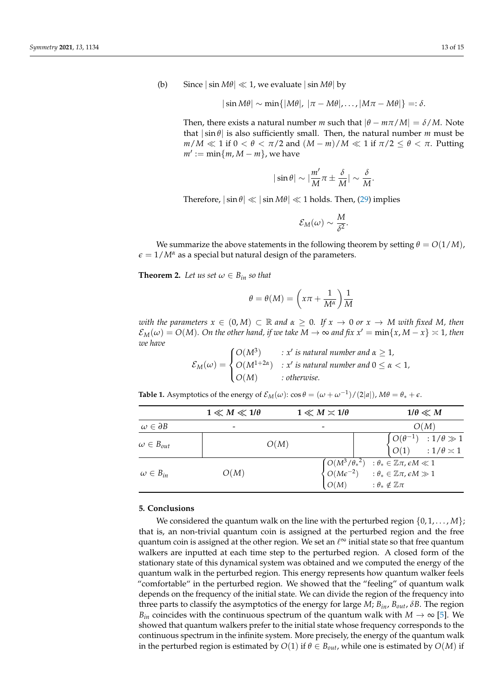(b) Since  $|\sin M\theta| \ll 1$ , we evaluate  $|\sin M\theta|$  by

$$
|\sin M\theta| \sim \min\{|M\theta|, |\pi - M\theta|, \ldots, |M\pi - M\theta|\} =: \delta.
$$

Then, there exists a natural number *m* such that  $|\theta - m\pi/M| = \delta/M$ . Note that  $|\sin \theta|$  is also sufficiently small. Then, the natural number *m* must be  $m/M \ll 1$  if  $0 < \theta < \pi/2$  and  $(M-m)/M \ll 1$  if  $\pi/2 \le \theta < \pi$ . Putting  $m' := \min\{m, M - m\}$ , we have

$$
|\sin\theta|\sim |\frac{m'}{M}\pi\pm \frac{\delta}{M}|\sim \frac{\delta}{M}.
$$

Therefore,  $|\sin \theta| \ll |\sin M\theta| \ll 1$  holds. Then, [\(29\)](#page-11-0) implies

$$
\mathcal{E}_M(\omega) \sim \frac{M}{\delta^2}.
$$

We summarize the above statements in the following theorem by setting  $\theta = O(1/M)$ ,  $\epsilon = 1/M^{\alpha}$  as a special but natural design of the parameters.

<span id="page-12-1"></span>**Theorem 2.** Let us set  $\omega \in B_{in}$  so that

$$
\theta = \theta(M) = \left(x\pi + \frac{1}{M^{\alpha}}\right)\frac{1}{M}
$$

*with the parameters*  $x \in (0, M) \subset \mathbb{R}$  *and*  $\alpha \geq 0$ *. If*  $x \to 0$  *or*  $x \to M$  *with fixed M, then*  $\mathcal{E}_M(\omega) = O(M)$ . On the other hand, if we take  $M \to \infty$  and fix  $x' = \min\{x, M - x\} \asymp 1$ , then *we have*

$$
\mathcal{E}_M(\omega) = \begin{cases} O(M^3) & : x' \text{ is natural number and } \alpha \ge 1, \\ O(M^{1+2\alpha}) & : x' \text{ is natural number and } 0 \le \alpha < 1, \\ O(M) & : otherwise. \end{cases}
$$

<span id="page-12-0"></span>**Table 1.** Asymptotics of the energy of  $\mathcal{E}_M(\omega)$ :  $\cos \theta = (\omega + \omega^{-1})/(2|a|)$ ,  $M\theta = \theta_* + \epsilon$ .

|                         | $1 \ll M \ll 1/\theta$ | $1 \ll M \asymp 1/\theta$ | $1/\theta \ll M$                                                                                                                                                                                                |
|-------------------------|------------------------|---------------------------|-----------------------------------------------------------------------------------------------------------------------------------------------------------------------------------------------------------------|
| $\omega \in \partial B$ |                        | $\overline{\phantom{a}}$  | O(M)                                                                                                                                                                                                            |
| $\omega \in B_{out}$    | O(M)                   |                           | $\begin{cases} O(\theta^{-1}) & : 1/\theta \gg 1 \\ O(1) & : 1/\theta \asymp 1 \end{cases}$                                                                                                                     |
| $\omega \in B_{in}$     | O(M)                   | O(M)                      | $\begin{cases} O(M^3/\theta_{*}^2) & : \theta_{*} \in \mathbb{Z}\pi, \epsilon M \ll 1 \\ O(M\epsilon^{-2}) & : \theta_{*} \in \mathbb{Z}\pi, \epsilon M \gg 1 \end{cases}$<br>: $\theta_* \notin \mathbb{Z}\pi$ |

### **5. Conclusions**

We considered the quantum walk on the line with the perturbed region  $\{0, 1, \ldots, M\}$ ; that is, an non-trivial quantum coin is assigned at the perturbed region and the free quantum coin is assigned at the other region. We set an  $\ell^{\infty}$  initial state so that free quantum walkers are inputted at each time step to the perturbed region. A closed form of the stationary state of this dynamical system was obtained and we computed the energy of the quantum walk in the perturbed region. This energy represents how quantum walker feels "comfortable" in the perturbed region. We showed that the "feeling" of quantum walk depends on the frequency of the initial state. We can divide the region of the frequency into three parts to classify the asymptotics of the energy for large *M*;  $B_{in}$ ,  $B_{out}$ ,  $\delta B$ . The region *B*<sub>in</sub> coincides with the continuous spectrum of the quantum walk with  $M \to \infty$  [\[5\]](#page-13-3). We showed that quantum walkers prefer to the initial state whose frequency corresponds to the continuous spectrum in the infinite system. More precisely, the energy of the quantum walk in the perturbed region is estimated by  $O(1)$  if  $\theta \in B_{out}$ , while one is estimated by  $O(M)$  if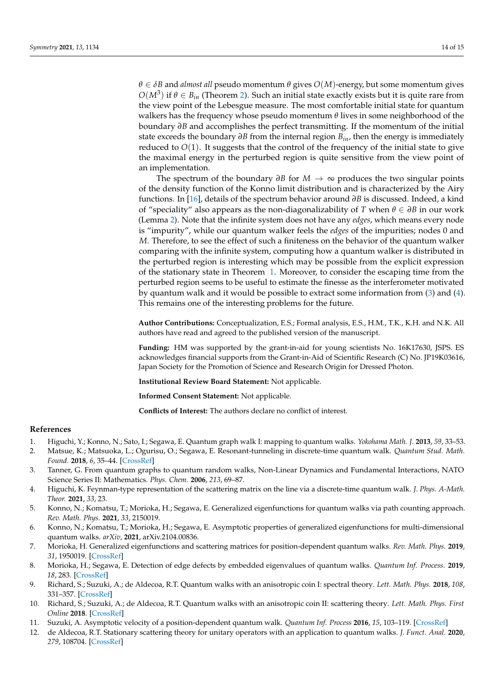*θ* ∈ *δB* and *almost all* pseudo momentum *θ* gives *O*(*M*)-energy, but some momentum gives  $O(M^3)$  if  $\theta \in B_{in}$  (Theorem [2\)](#page-12-1). Such an initial state exactly exists but it is quite rare from the view point of the Lebesgue measure. The most comfortable initial state for quantum walkers has the frequency whose pseudo momentum *θ* lives in some neighborhood of the boundary *∂B* and accomplishes the perfect transmitting. If the momentum of the initial state exceeds the boundary *∂B* from the internal region *Bin*, then the energy is immediately reduced to *O*(1). It suggests that the control of the frequency of the initial state to give the maximal energy in the perturbed region is quite sensitive from the view point of an implementation.

The spectrum of the boundary *∂B* for *M* → ∞ produces the two singular points of the density function of the Konno limit distribution and is characterized by the Airy functions. In [\[16\]](#page-14-3), details of the spectrum behavior around *∂B* is discussed. Indeed, a kind of "speciality" also appears as the non-diagonalizability of *T* when *θ* ∈ *∂B* in our work (Lemma [2\)](#page-5-2). Note that the infinite system does not have any *edges*, which means every node is "impurity", while our quantum walker feels the *edges* of the impurities; nodes 0 and *M*. Therefore, to see the effect of such a finiteness on the behavior of the quantum walker comparing with the infinite system, computing how a quantum walker is distributed in the perturbed region is interesting which may be possible from the explicit expression of the stationary state in Theorem [1.](#page-6-0) Moreover, to consider the escaping time from the perturbed region seems to be useful to estimate the finesse as the interferometer motivated by quantum walk and it would be possible to extract some information from [\(3\)](#page-3-2) and [\(4\)](#page-3-3). This remains one of the interesting problems for the future.

**Author Contributions:** Conceptualization, E.S.; Formal analysis, E.S., H.M., T.K., K.H. and N.K. All authors have read and agreed to the published version of the manuscript.

**Funding:** HM was supported by the grant-in-aid for young scientists No. 16K17630, JSPS. ES acknowledges financial supports from the Grant-in-Aid of Scientific Research (C) No. JP19K03616, Japan Society for the Promotion of Science and Research Origin for Dressed Photon.

**Institutional Review Board Statement:** Not applicable.

**Informed Consent Statement:** Not applicable.

**Conflicts of Interest:** The authors declare no conflict of interest.

### **References**

- <span id="page-13-0"></span>1. Higuchi, Y.; Konno, N.; Sato, I.; Segawa, E. Quantum graph walk I: mapping to quantum walks. *Yokohama Math. J.* **2013**, *59*, 33–53.
- 2. Matsue, K.; Matsuoka, L.; Ogurisu, O.; Segawa, E. Resonant-tunneling in discrete-time quantum walk. *Quantum Stud. Math. Found.* **2018**, *6*, 35–44. [\[CrossRef\]](http://doi.org/10.1007/s40509-017-0151-9)
- <span id="page-13-1"></span>3. Tanner, G. From quantum graphs to quantum random walks, Non-Linear Dynamics and Fundamental Interactions, NATO Science Series II: Mathematics. *Phys. Chem.* **2006**, *213*, 69–87.
- <span id="page-13-2"></span>4. Higuchi, K. Feynman-type representation of the scattering matrix on the line via a discrete-time quantum walk. *J. Phys. A-Math. Theor.* **2021**, *33*, 23.
- <span id="page-13-3"></span>5. Konno, N.; Komatsu, T.; Morioka, H.; Segawa, E. Generalized eigenfunctions for quantum walks via path counting approach. *Rev. Math. Phys.* **2021**, *33*, 2150019.
- <span id="page-13-4"></span>6. Konno, N.; Komatsu, T.; Morioka, H.; Segawa, E. Asymptotic properties of generalized eigenfunctions for multi-dimensional quantum walks. *arXiv*, **2021**, arXiv.2104.00836.
- 7. Morioka, H. Generalized eigenfunctions and scattering matrices for position-dependent quantum walks. *Rev. Math. Phys.* **2019**, *31*, 1950019. [\[CrossRef\]](http://dx.doi.org/10.1142/S0129055X19500193)
- 8. Morioka, H.; Segawa, E. Detection of edge defects by embedded eigenvalues of quantum walks. *Quantum Inf. Process*. **2019**, *18*, 283. [\[CrossRef\]](http://dx.doi.org/10.1007/s11128-019-2398-z)
- 9. Richard, S.; Suzuki, A.; de Aldecoa, R.T. Quantum walks with an anisotropic coin I: spectral theory. *Lett. Math. Phys.* **2018**, *108*, 331–357. [\[CrossRef\]](http://dx.doi.org/10.1007/s11005-017-1008-1)
- 10. Richard, S.; Suzuki, A.; de Aldecoa, R.T. Quantum walks with an anisotropic coin II: scattering theory. *Lett. Math. Phys. First Online* **2018**. [\[CrossRef\]](http://dx.doi.org/10.1007/s11005-017-1008-1)
- 11. Suzuki, A. Asymptotic velocity of a position-dependent quantum walk. *Quantum Inf. Process* **2016**, *15*, 103–119. [\[CrossRef\]](http://dx.doi.org/10.1007/s11128-015-1183-x)
- <span id="page-13-5"></span>12. de Aldecoa, R.T. Stationary scattering theory for unitary operators with an application to quantum walks. *J. Funct. Anal.* **2020**, *279*, 108704. [\[CrossRef\]](http://dx.doi.org/10.1016/j.jfa.2020.108704)